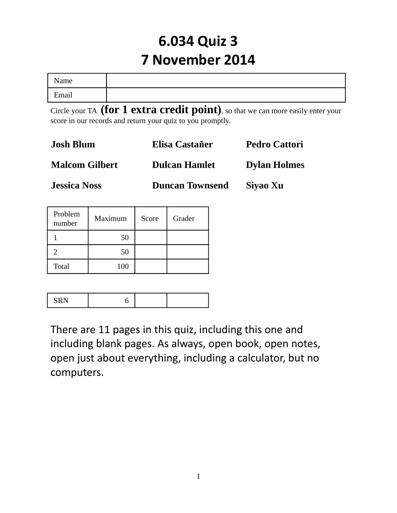# **6.034 Quiz 3 7 November 2014**

| Name  |  |
|-------|--|
| Email |  |

Circle your TA **(for 1 extra credit point)**, so that we can more easily enter your score in our records and return your quiz to you promptly.

| <b>Josh Blum</b>      | Elisa Castañer         | <b>Pedro Cattori</b> |  |
|-----------------------|------------------------|----------------------|--|
| <b>Malcom Gilbert</b> | <b>Dulcan Hamlet</b>   | <b>Dylan Holmes</b>  |  |
| <b>Jessica Noss</b>   | <b>Duncan Townsend</b> | Siyao Xu             |  |

| Problem<br>number | Maximum | Score | Grader |
|-------------------|---------|-------|--------|
|                   | 50      |       |        |
|                   | 50      |       |        |
| Total             | 100     |       |        |

|--|--|--|--|

There are 11 pages in this quiz, including this one and including blank pages. As always, open book, open notes, open just about everything, including a calculator, but no computers.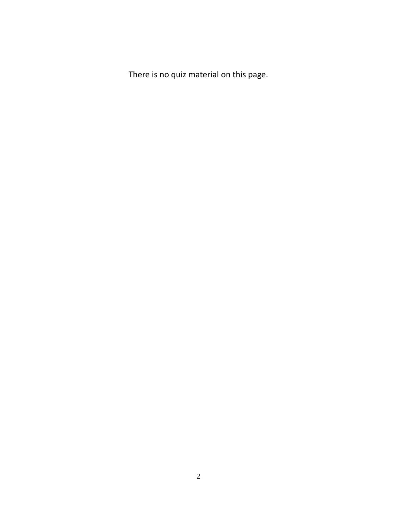There is no quiz material on this page.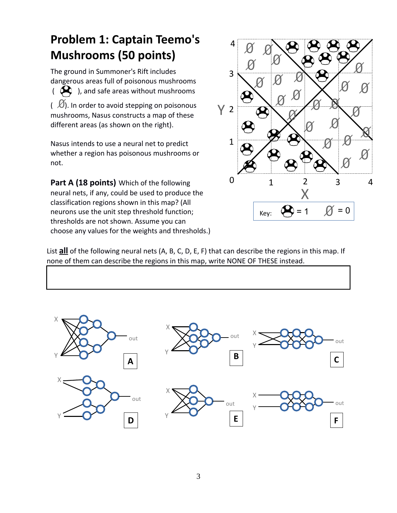# **Problem 1: Captain Teemo's Mushrooms (50 points)**

The ground in Summoner's Rift includes dangerous areas full of poisonous mushrooms  $\begin{pmatrix} \mathbf{\mathcal{A}} \\ \mathbf{\mathcal{A}} \end{pmatrix}$ , and safe areas without mushrooms  $\mathcal{O}(1/\sqrt{2})$ . In order to avoid stepping on poisonous mushrooms, Nasus constructs a map of these different areas (as shown on the right).

Nasus intends to use a neural net to predict whether a region has poisonous mushrooms or not.

**Part A (18 points)** Which of the following neural nets, if any, could be used to produce the classification regions shown in this map? (All neurons use the unit step threshold function; thresholds are not shown. Assume you can choose any values for the weights and thresholds.)



List **all** of the following neural nets (A, B, C, D, E, F) that can describe the regions in this map. If none of them can describe the regions in this map, write NONE OF THESE instead.

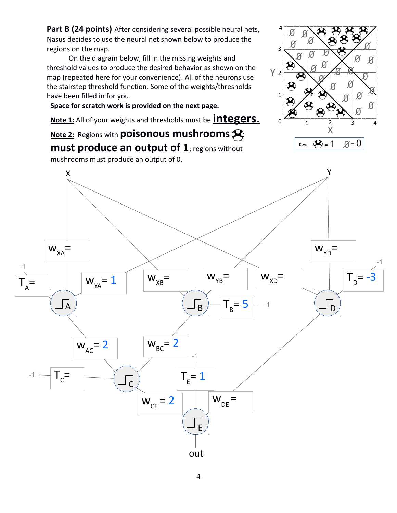Part B (24 points) After considering several possible neural nets, Nasus decides to use the neural net shown below to produce the regions on the map.

On the diagram below, fill in the missing weights and threshold values to produce the desired behavior as shown on the map (repeated here for your convenience). All of the neurons use the stairstep threshold function. Some of the weights/thresholds have been filled in for you.

**Space for scratch work is provided on the next page.**

**Note 1:** All of your weights and thresholds must be **integers**.

**Note 2:** Regions with **poisonous mushrooms**





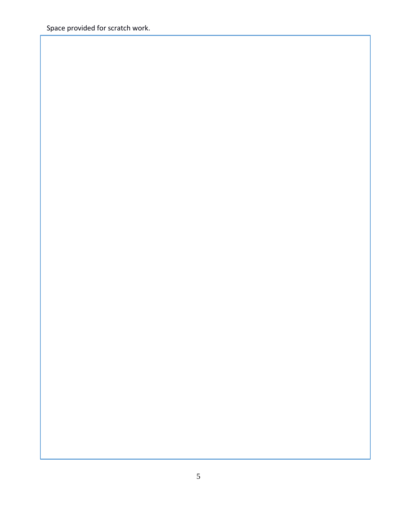Space provided for scratch work.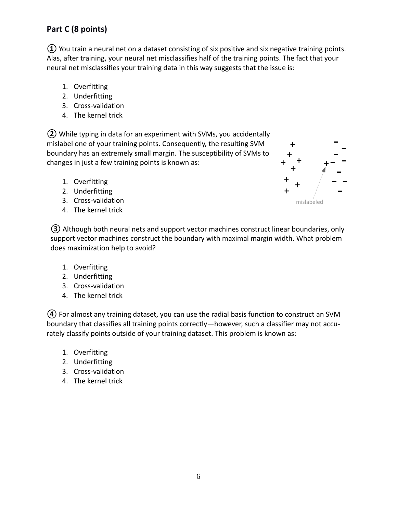#### **Part C (8 points)**

**①** You train a neural net on a dataset consisting of six positive and six negative training points. Alas, after training, your neural net misclassifies half of the training points. The fact that your neural net misclassifies your training data in this way suggests that the issue is:

- 1. Overfitting
- 2. Underfitting
- 3. Cross-validation
- 4. The kernel trick

**②** While typing in data for an experiment with SVMs, you accidentally mislabel one of your training points. Consequently, the resulting SVM boundary has an extremely small margin. The susceptibility of SVMs to changes in just a few training points is known as:

- 1. Overfitting
- 2. Underfitting
- 3. Cross-validation
- 4. The kernel trick



**③** Although both neural nets and support vector machines construct linear boundaries, only support vector machines construct the boundary with maximal margin width. What problem does maximization help to avoid?

- 1. Overfitting
- 2. Underfitting
- 3. Cross-validation
- 4. The kernel trick

**④** For almost any training dataset, you can use the radial basis function to construct an SVM boundary that classifies all training points correctly—however, such a classifier may not accurately classify points outside of your training dataset. This problem is known as:

- 1. Overfitting
- 2. Underfitting
- 3. Cross-validation
- 4. The kernel trick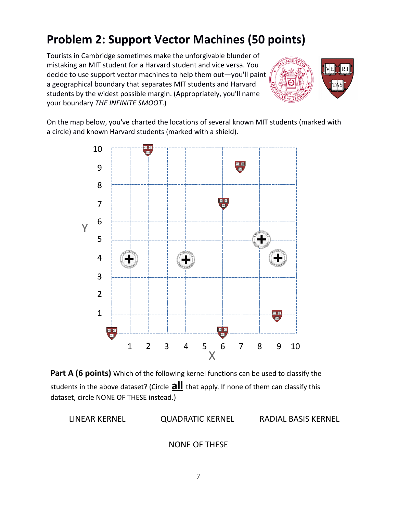## **Problem 2: Support Vector Machines (50 points)**

Tourists in Cambridge sometimes make the unforgivable blunder of mistaking an MIT student for a Harvard student and vice versa. You decide to use support vector machines to help them out—you'll paint a geographical boundary that separates MIT students and Harvard students by the widest possible margin. (Appropriately, you'll name your boundary *THE INFINITE SMOOT*.)



On the map below, you've charted the locations of several known MIT students (marked with a circle) and known Harvard students (marked with a shield).



**Part A (6 points)** Which of the following kernel functions can be used to classify the students in the above dataset? (Circle **all** that apply. If none of them can classify this dataset, circle NONE OF THESE instead.)

LINEAR KERNEL QUADRATIC KERNEL RADIAL BASIS KERNEL

NONE OF THESE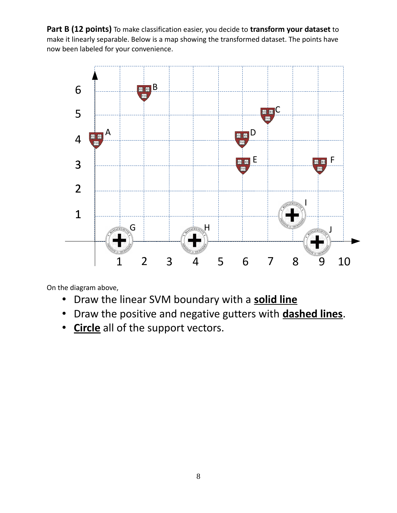**Part B (12 points)** To make classification easier, you decide to **transform your dataset** to make it linearly separable. Below is a map showing the transformed dataset. The points have now been labeled for your convenience.



On the diagram above,

- Draw the linear SVM boundary with a **solid line**
- Draw the positive and negative gutters with **dashed lines**.
- **Circle** all of the support vectors.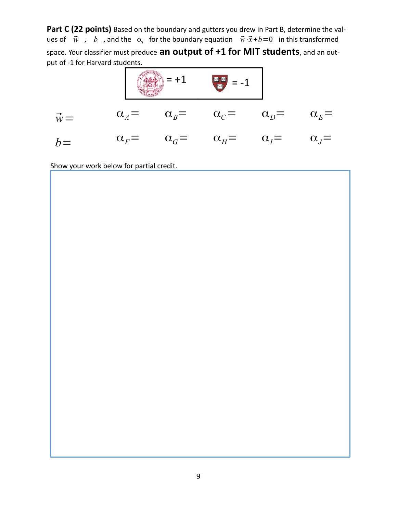Part C (22 points) Based on the boundary and gutters you drew in Part B, determine the values of  $\vec{w}$ , b, and the  $\alpha_i$  for the boundary equation  $\vec{w}\cdot\vec{x}+b=0$  in this transformed space. Your classifier must produce **an output of +1 for MIT students**, and an output of -1 for Harvard students.



Show your work below for partial credit.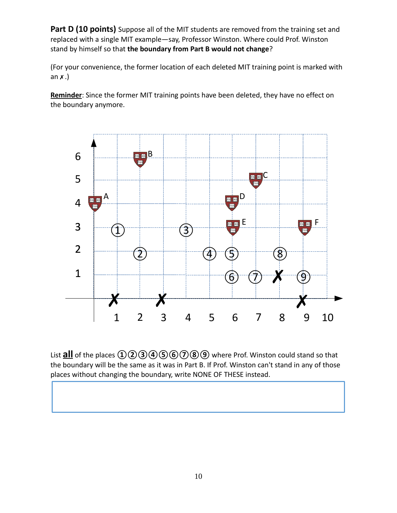Part D (10 points) Suppose all of the MIT students are removed from the training set and replaced with a single MIT example—say, Professor Winston. Where could Prof. Winston stand by himself so that **the boundary from Part B would not change**?

(For your convenience, the former location of each deleted MIT training point is marked with an  $x$ .)

**Reminder**: Since the former MIT training points have been deleted, they have no effect on the boundary anymore.



List **all** of the places  $\textcircled{1}\textcircled{2}\textcircled{3}\textcircled{4}\textcircled{5}\textcircled{6}\textcircled{7}\textcircled{8}\textcircled{9}$  where Prof. Winston could stand so that the boundary will be the same as it was in Part B. If Prof. Winston can't stand in any of those places without changing the boundary, write NONE OF THESE instead.